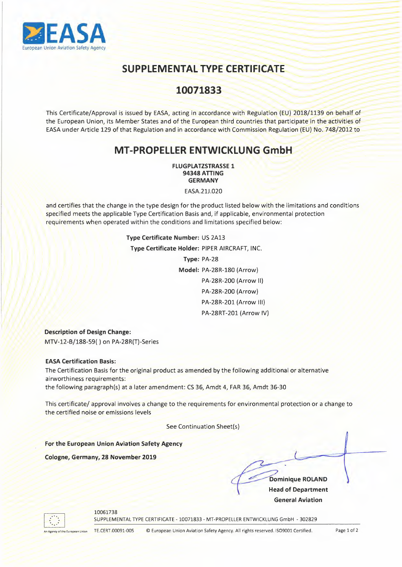

# **SUPPLEMENTAL TYPE CERTIFICATE**

### 10071833

This Certificate/Approval is issued by EASA, acting in accordance with Regulation (EU) 2018/1139 on behalf of the European Union, its Member States and of the European third countries that participate in the activities of EASA under Article 129 of that Regulation and in accordance with Commission Regulation (EU) No. 748/2012 to

## **MT-PROPELLER ENTWICKLUNG GmbH**

**FLUGPLATZSTRASSE 1 94348 ATTING GERMANY** 

EASA.21J.020

and certifies that the change in the type design for the product listed below with the limitations and conditions specified meets the applicable Type Certification Basis and, if applicable, environmental protection requirements when operated within the conditions and limitations specified below:

> **Type Certificate Number:** US 2Al3 **Type Certificate Holder:** PIPER AIRCRAFT, INC. Type: PA-28 Model: PA-28R-180 (Arrow) PA-28R-200 (Arrow II) PA-28R-200 (Arrow) PA-28R-201 (Arrow Ill) PA-28RT-201 (Arrow IV)

**Description of Design Change:**  MTV-12-B/188-59() on PA-28R(T)-Series

#### **EASA Certification Basis:**

The Certification Basis for the original product as amended by the following additional or alternative airworthiness requirements: the following paragraph(s) at a later amendment: CS 36, Amdt 4, FAR 36, Amdt 36-30

This certificate/ approval involves a change to the requirements for environmental protection or a change to the certified noise or emissions levels

See Continuation Sheet(s)

**For the European Union Aviation Safety Agency** 

**Cologne, Germany, 28 November 2019** 

**Dominique ROLAND Head of Department General Aviation** 



10061738

SUPPLEMENTAL TYPE CERTIFICATE - 10071833 - MT-PROPELLER ENTWICKLUNG GmbH - 302829

An Agency of the European Union TE.CERT.00091-005 © European Union Aviation Safety Agency. All rights reserved. ISO9001 Certified. Page 1 of 2